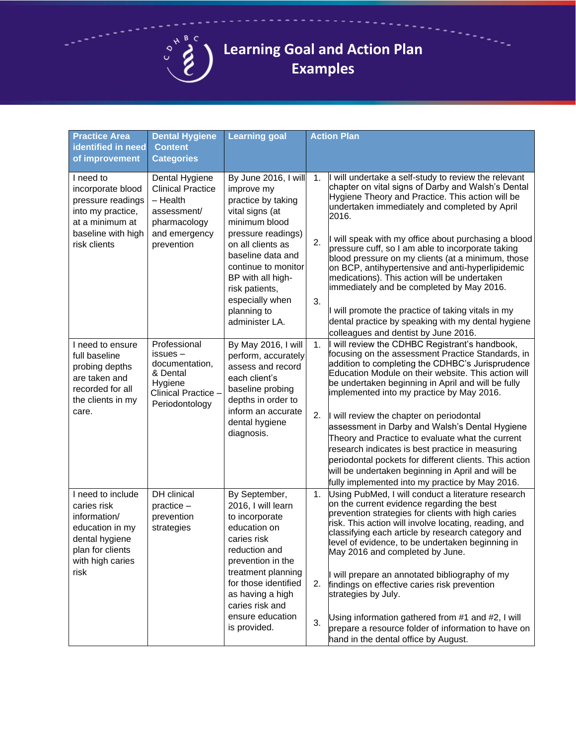

## **Learning Goal and Action Plan Examples**

| <b>Practice Area</b>                                                                                                                  | <b>Dental Hygiene</b>                                                                                                | <b>Learning goal</b>                                                                                                                                                                                                                                                           |                | <b>Action Plan</b>                                                                                                                                                                                                                                                                                                                                                                                                                                                                                                                                                                                                                                                                    |  |
|---------------------------------------------------------------------------------------------------------------------------------------|----------------------------------------------------------------------------------------------------------------------|--------------------------------------------------------------------------------------------------------------------------------------------------------------------------------------------------------------------------------------------------------------------------------|----------------|---------------------------------------------------------------------------------------------------------------------------------------------------------------------------------------------------------------------------------------------------------------------------------------------------------------------------------------------------------------------------------------------------------------------------------------------------------------------------------------------------------------------------------------------------------------------------------------------------------------------------------------------------------------------------------------|--|
| identified in need<br>of improvement                                                                                                  | <b>Content</b><br><b>Categories</b>                                                                                  |                                                                                                                                                                                                                                                                                |                |                                                                                                                                                                                                                                                                                                                                                                                                                                                                                                                                                                                                                                                                                       |  |
|                                                                                                                                       |                                                                                                                      |                                                                                                                                                                                                                                                                                |                |                                                                                                                                                                                                                                                                                                                                                                                                                                                                                                                                                                                                                                                                                       |  |
| I need to<br>incorporate blood<br>pressure readings<br>into my practice,<br>at a minimum at<br>baseline with high<br>risk clients     | Dental Hygiene<br><b>Clinical Practice</b><br>- Health<br>assessment/<br>pharmacology<br>and emergency<br>prevention | By June 2016, I will<br>improve my<br>practice by taking<br>vital signs (at<br>minimum blood<br>pressure readings)<br>on all clients as<br>baseline data and<br>continue to monitor<br>BP with all high-<br>risk patients,<br>especially when<br>planning to<br>administer LA. | 1.<br>2.<br>3. | I will undertake a self-study to review the relevant<br>chapter on vital signs of Darby and Walsh's Dental<br>Hygiene Theory and Practice. This action will be<br>undertaken immediately and completed by April<br>2016.<br>will speak with my office about purchasing a blood<br>pressure cuff, so I am able to incorporate taking<br>blood pressure on my clients (at a minimum, those<br>on BCP, antihypertensive and anti-hyperlipidemic<br>medications). This action will be undertaken<br>immediately and be completed by May 2016.<br>will promote the practice of taking vitals in my<br>dental practice by speaking with my dental hygiene                                   |  |
|                                                                                                                                       |                                                                                                                      |                                                                                                                                                                                                                                                                                |                | colleagues and dentist by June 2016.                                                                                                                                                                                                                                                                                                                                                                                                                                                                                                                                                                                                                                                  |  |
| I need to ensure<br>full baseline<br>probing depths<br>are taken and<br>recorded for all<br>the clients in my<br>care.                | Professional<br>issues –<br>documentation,<br>& Dental<br>Hygiene<br>Clinical Practice -<br>Periodontology           | By May 2016, I will<br>perform, accurately<br>assess and record<br>each client's<br>baseline probing<br>depths in order to<br>inform an accurate<br>dental hygiene<br>diagnosis.                                                                                               | 1.<br>2.       | will review the CDHBC Registrant's handbook,<br>focusing on the assessment Practice Standards, in<br>addition to completing the CDHBC's Jurisprudence<br>Education Module on their website. This action will<br>be undertaken beginning in April and will be fully<br>implemented into my practice by May 2016.<br>will review the chapter on periodontal<br>assessment in Darby and Walsh's Dental Hygiene<br>Theory and Practice to evaluate what the current<br>research indicates is best practice in measuring<br>periodontal pockets for different clients. This action<br>will be undertaken beginning in April and will be<br>fully implemented into my practice by May 2016. |  |
| I need to include<br>caries risk<br>information/<br>education in my<br>dental hygiene<br>plan for clients<br>with high caries<br>risk | DH clinical<br>$practive -$<br>prevention<br>strategies                                                              | By September,<br>2016, I will learn<br>to incorporate<br>education on<br>caries risk<br>reduction and<br>prevention in the<br>treatment planning<br>for those identified<br>as having a high<br>caries risk and                                                                | 1.<br>2.       | Using PubMed, I will conduct a literature research<br>on the current evidence regarding the best<br>prevention strategies for clients with high caries<br>risk. This action will involve locating, reading, and<br>classifying each article by research category and<br>level of evidence, to be undertaken beginning in<br>May 2016 and completed by June.<br>will prepare an annotated bibliography of my<br>findings on effective caries risk prevention<br>strategies by July.                                                                                                                                                                                                    |  |
|                                                                                                                                       |                                                                                                                      | ensure education<br>is provided.                                                                                                                                                                                                                                               | 3.             | Using information gathered from #1 and #2, I will<br>prepare a resource folder of information to have on<br>hand in the dental office by August.                                                                                                                                                                                                                                                                                                                                                                                                                                                                                                                                      |  |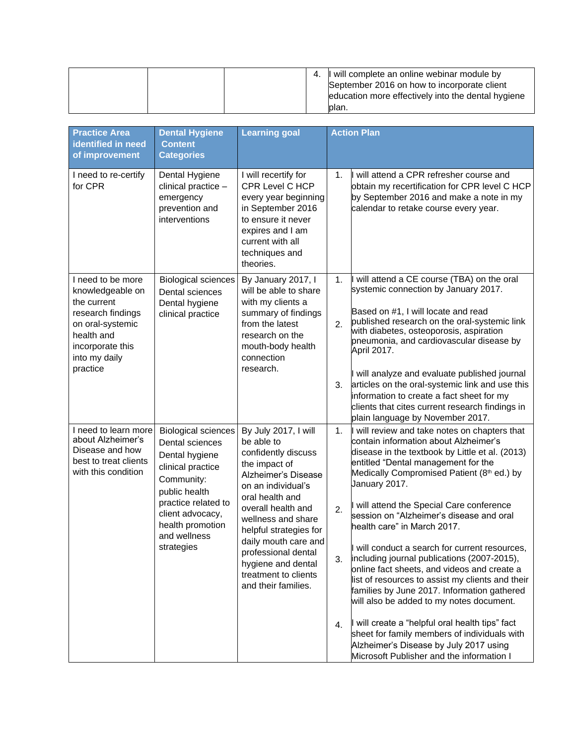|  |  | 4. | I will complete an online webinar module by        |
|--|--|----|----------------------------------------------------|
|  |  |    | September 2016 on how to incorporate client        |
|  |  |    | education more effectively into the dental hygiene |
|  |  |    | blan.                                              |

| <b>Practice Area</b>                                                                                                                             | <b>Dental Hygiene</b>                                                                                                                                                                                            | <b>Learning goal</b>                                                                                                                                                                                                                                                                                                                 | <b>Action Plan</b> |                                                                                                                                                                                                                                                                                                                                                                                                                                                                                                                                                                                                                                                                      |
|--------------------------------------------------------------------------------------------------------------------------------------------------|------------------------------------------------------------------------------------------------------------------------------------------------------------------------------------------------------------------|--------------------------------------------------------------------------------------------------------------------------------------------------------------------------------------------------------------------------------------------------------------------------------------------------------------------------------------|--------------------|----------------------------------------------------------------------------------------------------------------------------------------------------------------------------------------------------------------------------------------------------------------------------------------------------------------------------------------------------------------------------------------------------------------------------------------------------------------------------------------------------------------------------------------------------------------------------------------------------------------------------------------------------------------------|
| identified in need<br>of improvement                                                                                                             | <b>Content</b><br><b>Categories</b>                                                                                                                                                                              |                                                                                                                                                                                                                                                                                                                                      |                    |                                                                                                                                                                                                                                                                                                                                                                                                                                                                                                                                                                                                                                                                      |
| I need to re-certify<br>for CPR                                                                                                                  | Dental Hygiene<br>clinical practice -<br>emergency<br>prevention and<br>interventions                                                                                                                            | I will recertify for<br>CPR Level C HCP<br>every year beginning<br>in September 2016<br>to ensure it never<br>expires and I am<br>current with all<br>techniques and<br>theories.                                                                                                                                                    | 1.                 | I will attend a CPR refresher course and<br>obtain my recertification for CPR level C HCP<br>by September 2016 and make a note in my<br>calendar to retake course every year.                                                                                                                                                                                                                                                                                                                                                                                                                                                                                        |
| I need to be more<br>knowledgeable on<br>the current<br>research findings<br>on oral-systemic<br>health and<br>incorporate this<br>into my daily | <b>Biological sciences</b><br>Dental sciences<br>Dental hygiene<br>clinical practice                                                                                                                             | By January 2017, I<br>will be able to share<br>with my clients a<br>summary of findings<br>from the latest<br>research on the<br>mouth-body health<br>connection<br>research.                                                                                                                                                        | 1.<br>2.           | I will attend a CE course (TBA) on the oral<br>systemic connection by January 2017.<br>Based on #1, I will locate and read<br>published research on the oral-systemic link<br>with diabetes, osteoporosis, aspiration<br>pneumonia, and cardiovascular disease by<br>April 2017.                                                                                                                                                                                                                                                                                                                                                                                     |
| practice                                                                                                                                         |                                                                                                                                                                                                                  |                                                                                                                                                                                                                                                                                                                                      | 3.                 | I will analyze and evaluate published journal<br>articles on the oral-systemic link and use this<br>information to create a fact sheet for my<br>clients that cites current research findings in<br>plain language by November 2017.                                                                                                                                                                                                                                                                                                                                                                                                                                 |
| I need to learn more<br>about Alzheimer's<br>Disease and how<br>best to treat clients<br>with this condition                                     | <b>Biological sciences</b><br>Dental sciences<br>Dental hygiene<br>clinical practice<br>Community:<br>public health<br>practice related to<br>client advocacy,<br>health promotion<br>and wellness<br>strategies | By July 2017, I will<br>be able to<br>confidently discuss<br>the impact of<br>Alzheimer's Disease<br>on an individual's<br>oral health and<br>overall health and<br>wellness and share<br>helpful strategies for<br>daily mouth care and<br>professional dental<br>hygiene and dental<br>treatment to clients<br>and their families. | 1.<br>2.<br>3.     | I will review and take notes on chapters that<br>contain information about Alzheimer's<br>disease in the textbook by Little et al. (2013)<br>entitled "Dental management for the<br>Medically Compromised Patient (8th ed.) by<br>January 2017.<br>I will attend the Special Care conference<br>session on "Alzheimer's disease and oral<br>health care" in March 2017.<br>will conduct a search for current resources,<br>including journal publications (2007-2015),<br>online fact sheets, and videos and create a<br>list of resources to assist my clients and their<br>families by June 2017. Information gathered<br>will also be added to my notes document. |
|                                                                                                                                                  |                                                                                                                                                                                                                  |                                                                                                                                                                                                                                                                                                                                      | 4 <sub>1</sub>     | I will create a "helpful oral health tips" fact<br>sheet for family members of individuals with<br>Alzheimer's Disease by July 2017 using<br>Microsoft Publisher and the information I                                                                                                                                                                                                                                                                                                                                                                                                                                                                               |